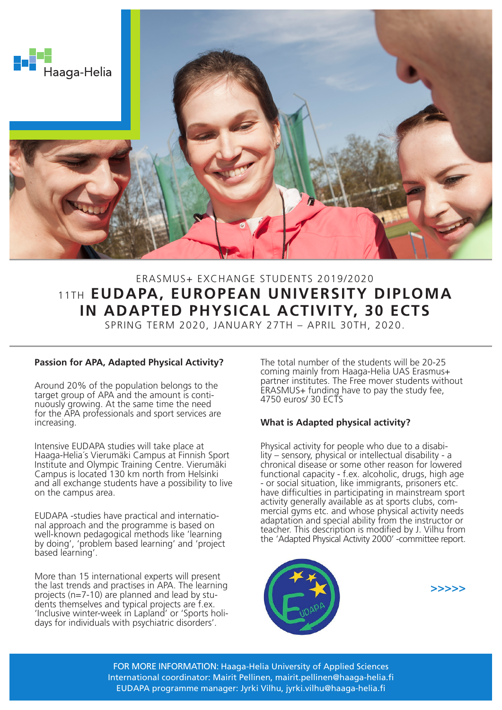

# ERASMUS+ EXCHANGE STUDENTS 2019/2020 11TH **EUDAPA, EUROPEAN UNIVERSITY DIPLOMA IN ADAPTED PHYSICAL ACTIVITY, 30 ECTS**

SPRING TERM 2020, JANUARY 27TH – APRIL 30TH, 2020.

# **Passion for APA, Adapted Physical Activity?**

Around 20% of the population belongs to the target group of APA and the amount is continuously growing. At the same time the need for the APA professionals and sport services are increasing.

Intensive EUDAPA studies will take place at Haaga-Helia´s Vierumäki Campus at Finnish Sport Institute and Olympic Training Centre. Vierumäki Campus is located 130 km north from Helsinki and all exchange students have a possibility to live on the campus area.

EUDAPA -studies have practical and internatio- nal approach and the programme is based on well-known pedagogical methods like 'learning by doing', 'problem based learning' and 'project based learning'.

More than 15 international experts will present the last trends and practises in APA. The learning projects ( $n=7-10$ ) are planned and lead by students themselves and typical projects are f.ex. 'Inclusive winter-week in Lapland' or 'Sports holi days for individuals with psychiatric disorders'.

The total number of the students will be 20-25 coming mainly from Haaga-Helia UAS Erasmus+ partner institutes. The Free mover students without ERASMUS+ funding have to pay the study fee, 4750 euros/ 30 ECTS

# **What is Adapted physical activity?**

Physical activity for people who due to a disabi- lity – sensory, physical or intellectual disability - a chronical disease or some other reason for lowered functional capacity - f.ex. alcoholic, drugs, high age - or social situation, like immigrants, prisoners etc. have difficulties in participating in mainstream sport activity generally available as at sports clubs, commercial gyms etc. and whose physical activity needs adaptation and special ability from the instructor or teacher. This description is modified by J. Vilhu from the 'Adapted Physical Activity 2000' -committee report.





FOR MORE INFORMATION: Haaga-Helia University of Applied Sciences International coordinator: Mairit Pellinen, mairit.pellinen@haaga-helia.fi EUDAPA programme manager: Jyrki Vilhu, jyrki.vilhu@haaga-helia.fi